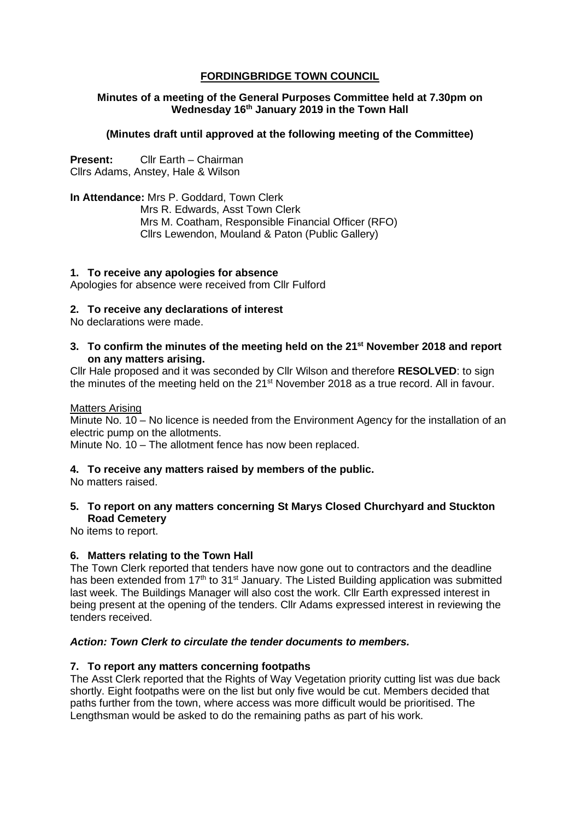# **FORDINGBRIDGE TOWN COUNCIL**

# **Minutes of a meeting of the General Purposes Committee held at 7.30pm on Wednesday 16th January 2019 in the Town Hall**

# **(Minutes draft until approved at the following meeting of the Committee)**

**Present:** Cllr Earth – Chairman Cllrs Adams, Anstey, Hale & Wilson

**In Attendance:** Mrs P. Goddard, Town Clerk Mrs R. Edwards, Asst Town Clerk Mrs M. Coatham, Responsible Financial Officer (RFO) Cllrs Lewendon, Mouland & Paton (Public Gallery)

## **1. To receive any apologies for absence**

Apologies for absence were received from Cllr Fulford

## **2. To receive any declarations of interest**

No declarations were made.

**3. To confirm the minutes of the meeting held on the 21st November 2018 and report on any matters arising.**

Cllr Hale proposed and it was seconded by Cllr Wilson and therefore **RESOLVED**: to sign the minutes of the meeting held on the 21<sup>st</sup> November 2018 as a true record. All in favour.

#### Matters Arising

Minute No. 10 – No licence is needed from the Environment Agency for the installation of an electric pump on the allotments.

Minute No. 10 – The allotment fence has now been replaced.

# **4. To receive any matters raised by members of the public.**

No matters raised.

## **5. To report on any matters concerning St Marys Closed Churchyard and Stuckton Road Cemetery**

No items to report.

# **6. Matters relating to the Town Hall**

The Town Clerk reported that tenders have now gone out to contractors and the deadline has been extended from 17<sup>th</sup> to 31<sup>st</sup> January. The Listed Building application was submitted last week. The Buildings Manager will also cost the work. Cllr Earth expressed interest in being present at the opening of the tenders. Cllr Adams expressed interest in reviewing the tenders received.

#### *Action: Town Clerk to circulate the tender documents to members.*

# **7. To report any matters concerning footpaths**

The Asst Clerk reported that the Rights of Way Vegetation priority cutting list was due back shortly. Eight footpaths were on the list but only five would be cut. Members decided that paths further from the town, where access was more difficult would be prioritised. The Lengthsman would be asked to do the remaining paths as part of his work.